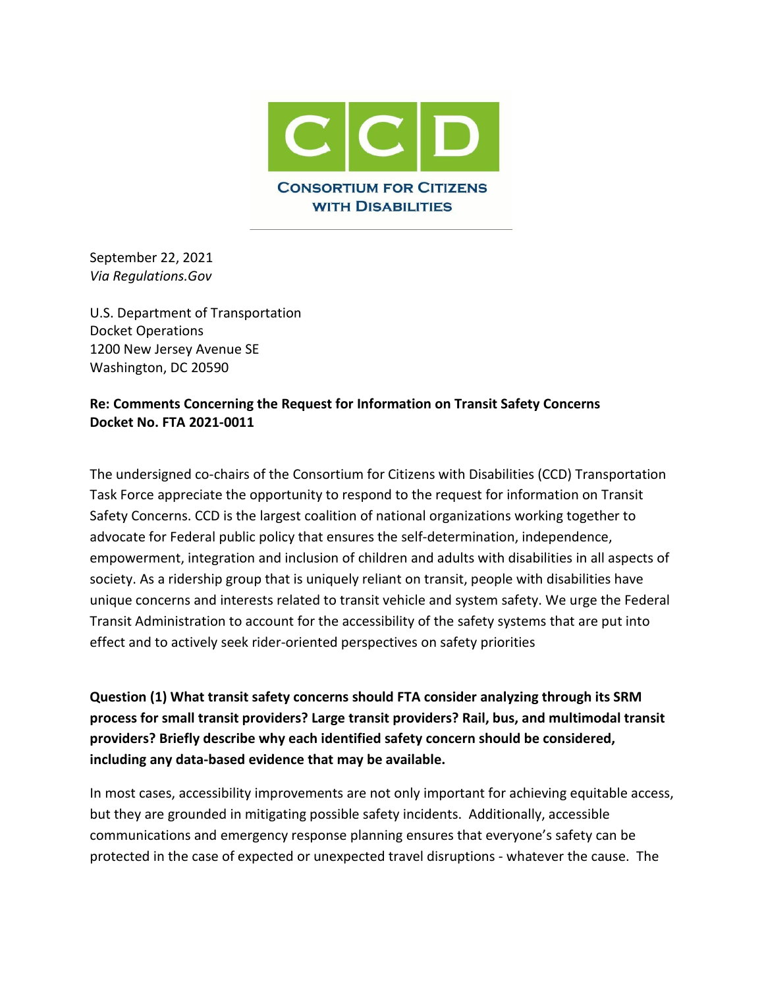

September 22, 2021 *Via Regulations.Gov*

U.S. Department of Transportation Docket Operations 1200 New Jersey Avenue SE Washington, DC 20590

## **Re: Comments Concerning the Request for Information on Transit Safety Concerns Docket No. FTA 2021-0011**

The undersigned co-chairs of the Consortium for Citizens with Disabilities (CCD) Transportation Task Force appreciate the opportunity to respond to the request for information on Transit Safety Concerns. CCD is the largest coalition of national organizations working together to advocate for Federal public policy that ensures the self-determination, independence, empowerment, integration and inclusion of children and adults with disabilities in all aspects of society. As a ridership group that is uniquely reliant on transit, people with disabilities have unique concerns and interests related to transit vehicle and system safety. We urge the Federal Transit Administration to account for the accessibility of the safety systems that are put into effect and to actively seek rider-oriented perspectives on safety priorities

**Question (1) What transit safety concerns should FTA consider analyzing through its SRM process for small transit providers? Large transit providers? Rail, bus, and multimodal transit providers? Briefly describe why each identified safety concern should be considered, including any data-based evidence that may be available.**

In most cases, accessibility improvements are not only important for achieving equitable access, but they are grounded in mitigating possible safety incidents. Additionally, accessible communications and emergency response planning ensures that everyone's safety can be protected in the case of expected or unexpected travel disruptions - whatever the cause. The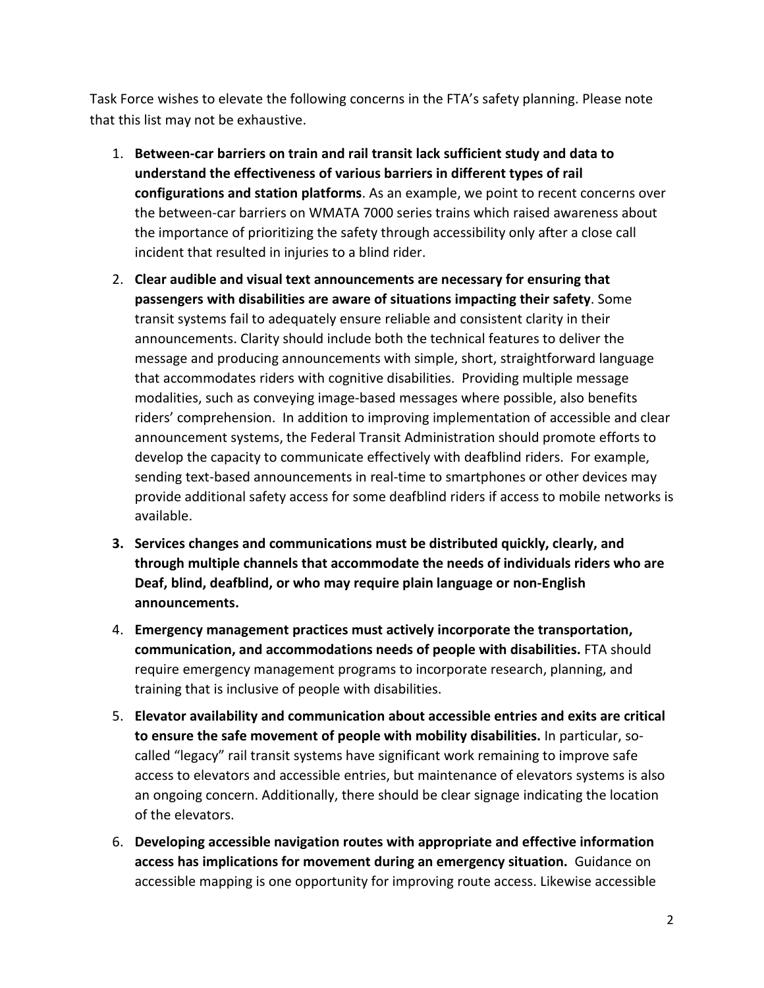Task Force wishes to elevate the following concerns in the FTA's safety planning. Please note that this list may not be exhaustive.

- 1. **Between-car barriers on train and rail transit lack sufficient study and data to understand the effectiveness of various barriers in different types of rail configurations and station platforms**. As an example, we point to recent concerns over the between-car barriers on WMATA 7000 series trains which raised awareness about the importance of prioritizing the safety through accessibility only after a close call incident that resulted in injuries to a blind rider.
- 2. **Clear audible and visual text announcements are necessary for ensuring that passengers with disabilities are aware of situations impacting their safety**. Some transit systems fail to adequately ensure reliable and consistent clarity in their announcements. Clarity should include both the technical features to deliver the message and producing announcements with simple, short, straightforward language that accommodates riders with cognitive disabilities. Providing multiple message modalities, such as conveying image-based messages where possible, also benefits riders' comprehension. In addition to improving implementation of accessible and clear announcement systems, the Federal Transit Administration should promote efforts to develop the capacity to communicate effectively with deafblind riders. For example, sending text-based announcements in real-time to smartphones or other devices may provide additional safety access for some deafblind riders if access to mobile networks is available.
- **3. Services changes and communications must be distributed quickly, clearly, and through multiple channels that accommodate the needs of individuals riders who are Deaf, blind, deafblind, or who may require plain language or non-English announcements.**
- 4. **Emergency management practices must actively incorporate the transportation, communication, and accommodations needs of people with disabilities.** FTA should require emergency management programs to incorporate research, planning, and training that is inclusive of people with disabilities.
- 5. **Elevator availability and communication about accessible entries and exits are critical to ensure the safe movement of people with mobility disabilities.** In particular, socalled "legacy" rail transit systems have significant work remaining to improve safe access to elevators and accessible entries, but maintenance of elevators systems is also an ongoing concern. Additionally, there should be clear signage indicating the location of the elevators.
- 6. **Developing accessible navigation routes with appropriate and effective information access has implications for movement during an emergency situation.** Guidance on accessible mapping is one opportunity for improving route access. Likewise accessible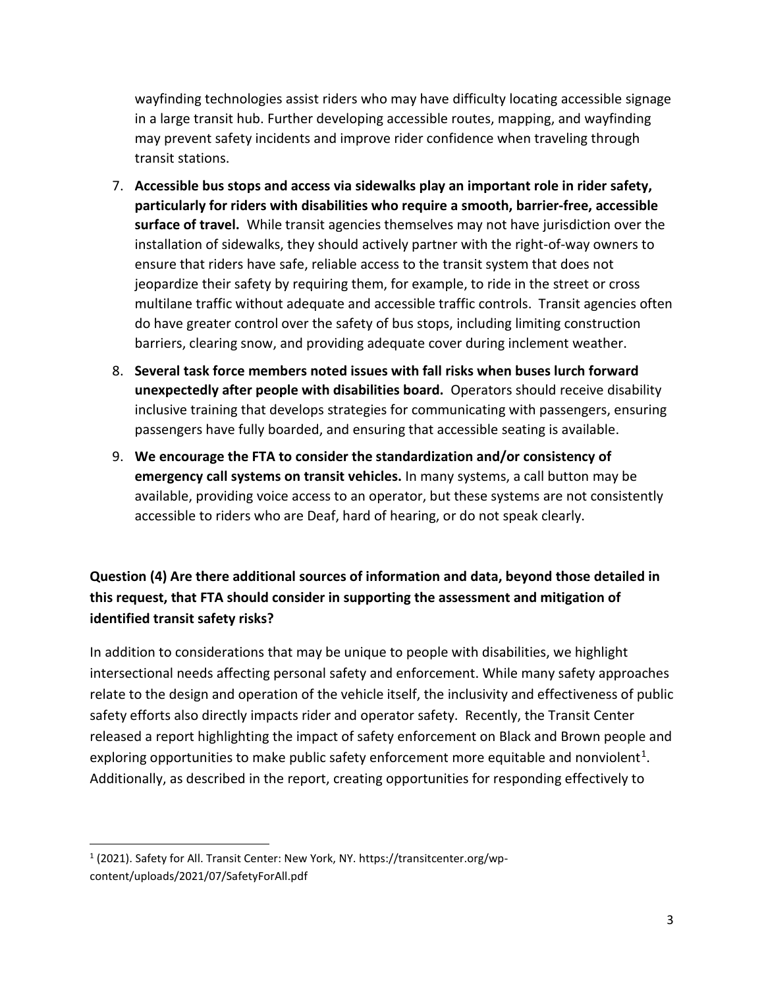wayfinding technologies assist riders who may have difficulty locating accessible signage in a large transit hub. Further developing accessible routes, mapping, and wayfinding may prevent safety incidents and improve rider confidence when traveling through transit stations.

- 7. **Accessible bus stops and access via sidewalks play an important role in rider safety, particularly for riders with disabilities who require a smooth, barrier-free, accessible surface of travel.** While transit agencies themselves may not have jurisdiction over the installation of sidewalks, they should actively partner with the right-of-way owners to ensure that riders have safe, reliable access to the transit system that does not jeopardize their safety by requiring them, for example, to ride in the street or cross multilane traffic without adequate and accessible traffic controls. Transit agencies often do have greater control over the safety of bus stops, including limiting construction barriers, clearing snow, and providing adequate cover during inclement weather.
- 8. **Several task force members noted issues with fall risks when buses lurch forward unexpectedly after people with disabilities board.** Operators should receive disability inclusive training that develops strategies for communicating with passengers, ensuring passengers have fully boarded, and ensuring that accessible seating is available.
- 9. **We encourage the FTA to consider the standardization and/or consistency of emergency call systems on transit vehicles.** In many systems, a call button may be available, providing voice access to an operator, but these systems are not consistently accessible to riders who are Deaf, hard of hearing, or do not speak clearly.

## **Question (4) Are there additional sources of information and data, beyond those detailed in this request, that FTA should consider in supporting the assessment and mitigation of identified transit safety risks?**

In addition to considerations that may be unique to people with disabilities, we highlight intersectional needs affecting personal safety and enforcement. While many safety approaches relate to the design and operation of the vehicle itself, the inclusivity and effectiveness of public safety efforts also directly impacts rider and operator safety. Recently, the Transit Center released a report highlighting the impact of safety enforcement on Black and Brown people and exploring opportunities to make public safety enforcement more equitable and nonviolent<sup>[1](#page-2-0)</sup>. Additionally, as described in the report, creating opportunities for responding effectively to

<span id="page-2-0"></span><sup>1</sup> (2021). Safety for All. Transit Center: New York, NY. https://transitcenter.org/wpcontent/uploads/2021/07/SafetyForAll.pdf